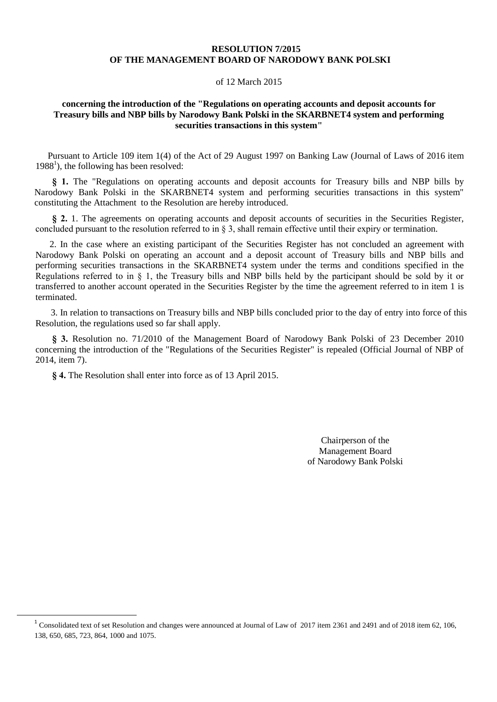### **RESOLUTION 7/2015 OF THE MANAGEMENT BOARD OF NARODOWY BANK POLSKI**

#### of 12 March 2015

### **concerning the introduction of the "Regulations on operating accounts and deposit accounts for Treasury bills and NBP bills by Narodowy Bank Polski in the SKARBNET4 system and performing securities transactions in this system"**

Pursuant to Article 109 item 1(4) of the Act of 29 August 1997 on Banking Law (Journal of Laws of 2016 item 1988 1 ), the following has been resolved:

**§ 1.** The "Regulations on operating accounts and deposit accounts for Treasury bills and NBP bills by Narodowy Bank Polski in the SKARBNET4 system and performing securities transactions in this system" constituting the Attachment to the Resolution are hereby introduced.

§ 2. 1. The agreements on operating accounts and deposit accounts of securities in the Securities Register, concluded pursuant to the resolution referred to in § 3, shall remain effective until their expiry or termination.

2. In the case where an existing participant of the Securities Register has not concluded an agreement with Narodowy Bank Polski on operating an account and a deposit account of Treasury bills and NBP bills and performing securities transactions in the SKARBNET4 system under the terms and conditions specified in the Regulations referred to in § 1, the Treasury bills and NBP bills held by the participant should be sold by it or transferred to another account operated in the Securities Register by the time the agreement referred to in item 1 is terminated.

3. In relation to transactions on Treasury bills and NBP bills concluded prior to the day of entry into force of this Resolution, the regulations used so far shall apply.

**§ 3.** Resolution no. 71/2010 of the Management Board of Narodowy Bank Polski of 23 December 2010 concerning the introduction of the "Regulations of the Securities Register" is repealed (Official Journal of NBP of 2014, item 7).

**§ 4.** The Resolution shall enter into force as of 13 April 2015.

 $\ddot{\phantom{a}}$ 

Chairperson of the Management Board of Narodowy Bank Polski

<sup>&</sup>lt;sup>1</sup> Consolidated text of set Resolution and changes were announced at Journal of Law of 2017 item 2361 and 2491 and of 2018 item 62, 106, 138, 650, 685, 723, 864, 1000 and 1075.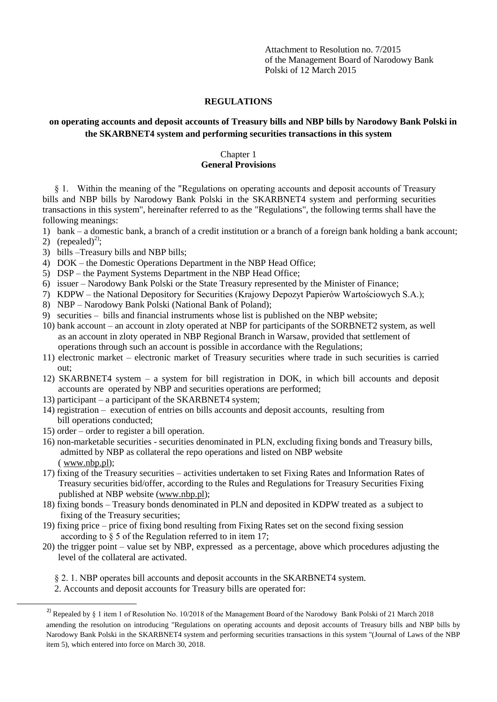Attachment to Resolution no. 7/2015 of the Management Board of Narodowy Bank Polski of 12 March 2015

### **REGULATIONS**

## **on operating accounts and deposit accounts of Treasury bills and NBP bills by Narodowy Bank Polski in the SKARBNET4 system and performing securities transactions in this system**

## Chapter 1 **General Provisions**

§ 1. Within the meaning of the "Regulations on operating accounts and deposit accounts of Treasury bills and NBP bills by Narodowy Bank Polski in the SKARBNET4 system and performing securities transactions in this system", hereinafter referred to as the "Regulations", the following terms shall have the following meanings:

- 1) bank a domestic bank, a branch of a credit institution or a branch of a foreign bank holding a bank account;
- 2) (repealed)<sup>2)</sup>;

- 3) bills –Treasury bills and NBP bills;
- 4) DOK the Domestic Operations Department in the NBP Head Office;
- 5) DSP the Payment Systems Department in the NBP Head Office;
- 6) issuer Narodowy Bank Polski or the State Treasury represented by the Minister of Finance;
- 7) KDPW the National Depository for Securities (Krajowy Depozyt Papierów Wartościowych S.A.);
- 8) NBP Narodowy Bank Polski (National Bank of Poland);
- 9) securities bills and financial instruments whose list is published on the NBP website;
- 10) bank account an account in zloty operated at NBP for participants of the SORBNET2 system, as well as an account in zloty operated in NBP Regional Branch in Warsaw, provided that settlement of operations through such an account is possible in accordance with the Regulations;
- 11) electronic market electronic market of Treasury securities where trade in such securities is carried out;
- 12) SKARBNET4 system a system for bill registration in DOK, in which bill accounts and deposit accounts are operated by NBP and securities operations are performed;
- 13) participant a participant of the SKARBNET4 system;
- 14) registration execution of entries on bills accounts and deposit accounts, resulting from bill operations conducted;
- 15) order order to register a bill operation.
- 16) non-marketable securities securities denominated in PLN, excluding fixing bonds and Treasury bills, admitted by NBP as collateral the repo operations and listed on NBP website ( [www.nbp.pl\)](http://www.nbp.pl/);
- 17) fixing of the Treasury securities activities undertaken to set Fixing Rates and Information Rates of Treasury securities bid/offer, according to the Rules and Regulations for Treasury Securities Fixing published at NBP website [\(www.nbp.pl\)](http://www.nbp.pl/);
- 18) fixing bonds Treasury bonds denominated in PLN and deposited in KDPW treated as a subject to fixing of the Treasury securities;
- 19) fixing price price of fixing bond resulting from Fixing Rates set on the second fixing session according to § 5 of the Regulation referred to in item 17;
- 20) the trigger point value set by NBP, expressed as a percentage, above which procedures adjusting the level of the collateral are activated.
	- § 2. 1. NBP operates bill accounts and deposit accounts in the SKARBNET4 system.
	- 2. Accounts and deposit accounts for Treasury bills are operated for:

<sup>&</sup>lt;sup>2)</sup> Repealed by § 1 item 1 of Resolution No. 10/2018 of the Management Board of the Narodowy Bank Polski of 21 March 2018 amending the resolution on introducing "Regulations on operating accounts and deposit accounts of Treasury bills and NBP bills by Narodowy Bank Polski in the SKARBNET4 system and performing securities transactions in this system "(Journal of Laws of the NBP item 5), which entered into force on March 30, 2018.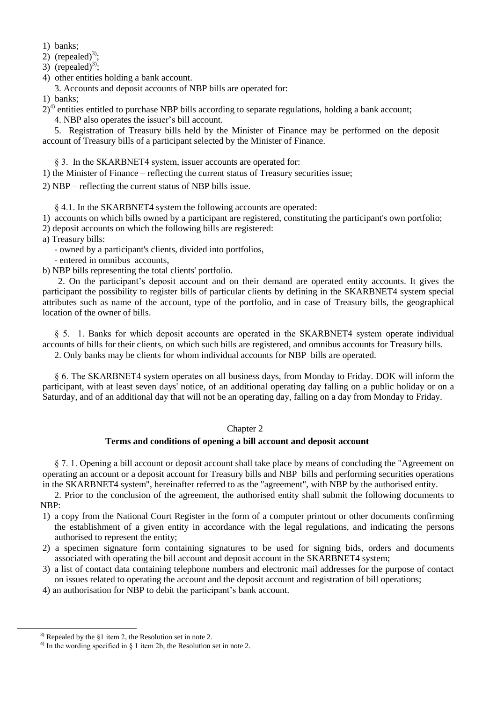1) banks;

2) (repealed)<sup>3)</sup>;

3) (repealed)<sup>3)</sup>;

4) other entities holding a bank account.

3. Accounts and deposit accounts of NBP bills are operated for:

1) banks;

 $2)^{4}$  entities entitled to purchase NBP bills according to separate regulations, holding a bank account;

4. NBP also operates the issuer's bill account.

5. Registration of Treasury bills held by the Minister of Finance may be performed on the deposit account of Treasury bills of a participant selected by the Minister of Finance.

§ 3. In the SKARBNET4 system, issuer accounts are operated for:

1) the Minister of Finance – reflecting the current status of Treasury securities issue;

2) NBP – reflecting the current status of NBP bills issue.

§ 4.1. In the SKARBNET4 system the following accounts are operated:

1) accounts on which bills owned by a participant are registered, constituting the participant's own portfolio;

2) deposit accounts on which the following bills are registered:

a) Treasury bills:

- owned by a participant's clients, divided into portfolios,

- entered in omnibus accounts,
- b) NBP bills representing the total clients' portfolio.

2. On the participant's deposit account and on their demand are operated entity accounts. It gives the participant the possibility to register bills of particular clients by defining in the SKARBNET4 system special attributes such as name of the account, type of the portfolio, and in case of Treasury bills, the geographical location of the owner of bills.

§ 5. 1. Banks for which deposit accounts are operated in the SKARBNET4 system operate individual accounts of bills for their clients, on which such bills are registered, and omnibus accounts for Treasury bills.

2. Only banks may be clients for whom individual accounts for NBP bills are operated.

§ 6. The SKARBNET4 system operates on all business days, from Monday to Friday. DOK will inform the participant, with at least seven days' notice, of an additional operating day falling on a public holiday or on a Saturday, and of an additional day that will not be an operating day, falling on a day from Monday to Friday.

## Chapter 2

# **Terms and conditions of opening a bill account and deposit account**

§ 7. 1. Opening a bill account or deposit account shall take place by means of concluding the "Agreement on operating an account or a deposit account for Treasury bills and NBP bills and performing securities operations in the SKARBNET4 system", hereinafter referred to as the "agreement", with NBP by the authorised entity.

2. Prior to the conclusion of the agreement, the authorised entity shall submit the following documents to NBP:

- 1) a copy from the National Court Register in the form of a computer printout or other documents confirming the establishment of a given entity in accordance with the legal regulations, and indicating the persons authorised to represent the entity;
- 2) a specimen signature form containing signatures to be used for signing bids, orders and documents associated with operating the bill account and deposit account in the SKARBNET4 system;
- 3) a list of contact data containing telephone numbers and electronic mail addresses for the purpose of contact on issues related to operating the account and the deposit account and registration of bill operations;

4) an authorisation for NBP to debit the participant's bank account.

 $\ddot{\phantom{a}}$ 

 $3)$  Repealed by the §1 item 2, the Resolution set in note 2.

<sup>&</sup>lt;sup>4)</sup> In the wording specified in  $\S$  1 item 2b, the Resolution set in note 2.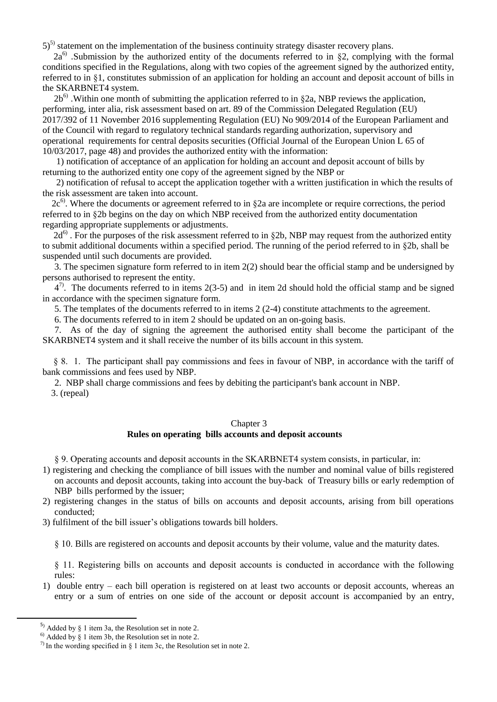$5)$ <sup>5)</sup> statement on the implementation of the business continuity strategy disaster recovery plans.

 $2a^{6}$ . Submission by the authorized entity of the documents referred to in §2, complying with the formal conditions specified in the Regulations, along with two copies of the agreement signed by the authorized entity, referred to in §1, constitutes submission of an application for holding an account and deposit account of bills in the SKARBNET4 system.

 $2b<sup>6</sup>$ . Within one month of submitting the application referred to in §2a, NBP reviews the application, performing, inter alia, risk assessment based on art. 89 of the Commission Delegated Regulation (EU) 2017/392 of 11 November 2016 supplementing Regulation (EU) No 909/2014 of the European Parliament and of the Council with regard to regulatory technical standards regarding authorization, supervisory and operational requirements for central deposits securities (Official Journal of the European Union L 65 of 10/03/2017, page 48) and provides the authorized entity with the information:

 1) notification of acceptance of an application for holding an account and deposit account of bills by returning to the authorized entity one copy of the agreement signed by the NBP or

 2) notification of refusal to accept the application together with a written justification in which the results of the risk assessment are taken into account.

 $2c<sup>6</sup>$ . Where the documents or agreement referred to in  $\S 2a$  are incomplete or require corrections, the period referred to in §2b begins on the day on which NBP received from the authorized entity documentation regarding appropriate supplements or adjustments.

 $2d^{6}$ . For the purposes of the risk assessment referred to in §2b, NBP may request from the authorized entity to submit additional documents within a specified period. The running of the period referred to in §2b, shall be suspended until such documents are provided.

3. The specimen signature form referred to in item 2(2) should bear the official stamp and be undersigned by persons authorised to represent the entity.

 $4^7$ . The documents referred to in items 2(3-5) and in item 2d should hold the official stamp and be signed in accordance with the specimen signature form.

5. The templates of the documents referred to in items 2 (2-4) constitute attachments to the agreement.

6. The documents referred to in item 2 should be updated on an on-going basis.

7. As of the day of signing the agreement the authorised entity shall become the participant of the SKARBNET4 system and it shall receive the number of its bills account in this system.

 § 8. 1. The participant shall pay commissions and fees in favour of NBP, in accordance with the tariff of bank commissions and fees used by NBP.

2. NBP shall charge commissions and fees by debiting the participant's bank account in NBP. 3. (repeal)

### Chapter 3

## **Rules on operating bills accounts and deposit accounts**

§ 9. Operating accounts and deposit accounts in the SKARBNET4 system consists, in particular, in:

- 1) registering and checking the compliance of bill issues with the number and nominal value of bills registered on accounts and deposit accounts, taking into account the buy-back of Treasury bills or early redemption of NBP bills performed by the issuer;
- 2) registering changes in the status of bills on accounts and deposit accounts, arising from bill operations conducted;
- 3) fulfilment of the bill issuer's obligations towards bill holders.

§ 10. Bills are registered on accounts and deposit accounts by their volume, value and the maturity dates.

§ 11. Registering bills on accounts and deposit accounts is conducted in accordance with the following rules:

1) double entry – each bill operation is registered on at least two accounts or deposit accounts, whereas an entry or a sum of entries on one side of the account or deposit account is accompanied by an entry,

 $^{5)}$  Added by § 1 item 3a, the Resolution set in note 2.

 $^{6)}$  Added by  $\frac{1}{9}$  1 item 3b, the Resolution set in note 2.

 $^{7)}$  In the wording specified in § 1 item 3c, the Resolution set in note 2.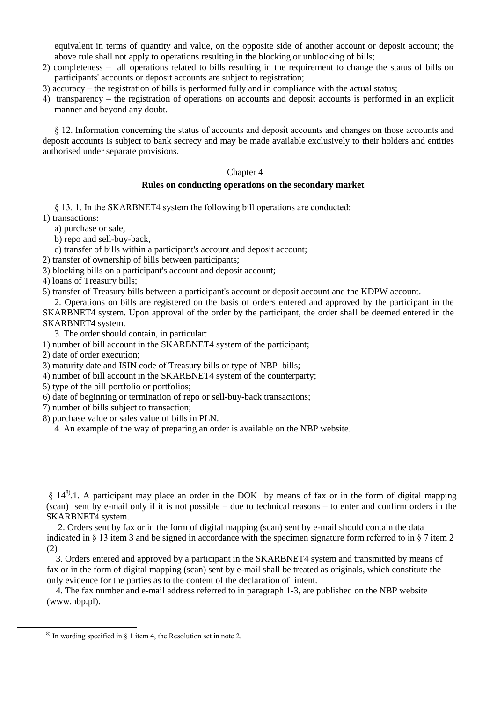equivalent in terms of quantity and value, on the opposite side of another account or deposit account; the above rule shall not apply to operations resulting in the blocking or unblocking of bills;

- 2) completeness all operations related to bills resulting in the requirement to change the status of bills on participants' accounts or deposit accounts are subject to registration;
- 3) accuracy the registration of bills is performed fully and in compliance with the actual status;
- 4) transparency the registration of operations on accounts and deposit accounts is performed in an explicit manner and beyond any doubt.

§ 12. Information concerning the status of accounts and deposit accounts and changes on those accounts and deposit accounts is subject to bank secrecy and may be made available exclusively to their holders and entities authorised under separate provisions.

#### Chapter 4

#### **Rules on conducting operations on the secondary market**

§ 13. 1. In the SKARBNET4 system the following bill operations are conducted: 1) transactions:

a) purchase or sale,

b) repo and sell-buy-back,

c) transfer of bills within a participant's account and deposit account;

2) transfer of ownership of bills between participants;

3) blocking bills on a participant's account and deposit account;

4) loans of Treasury bills;

5) transfer of Treasury bills between a participant's account or deposit account and the KDPW account.

2. Operations on bills are registered on the basis of orders entered and approved by the participant in the SKARBNET4 system. Upon approval of the order by the participant, the order shall be deemed entered in the SKARBNET4 system.

3. The order should contain, in particular:

1) number of bill account in the SKARBNET4 system of the participant;

2) date of order execution;

3) maturity date and ISIN code of Treasury bills or type of NBP bills;

4) number of bill account in the SKARBNET4 system of the counterparty;

5) type of the bill portfolio or portfolios;

- 6) date of beginning or termination of repo or sell-buy-back transactions;
- 7) number of bills subject to transaction;
- 8) purchase value or sales value of bills in PLN.

4. An example of the way of preparing an order is available on the NBP website.

 $\S$  14<sup>8</sup>.1. A participant may place an order in the DOK by means of fax or in the form of digital mapping (scan) sent by e-mail only if it is not possible – due to technical reasons – to enter and confirm orders in the SKARBNET4 system.

2. Orders sent by fax or in the form of digital mapping (scan) sent by e-mail should contain the data indicated in § 13 item 3 and be signed in accordance with the specimen signature form referred to in § 7 item 2 (2)

 3. Orders entered and approved by a participant in the SKARBNET4 system and transmitted by means of fax or in the form of digital mapping (scan) sent by e-mail shall be treated as originals, which constitute the only evidence for the parties as to the content of the declaration of intent.

 4. The fax number and e-mail address referred to in paragraph 1-3, are published on the NBP website (www.nbp.pl).

 $8$ ) In wording specified in § 1 item 4, the Resolution set in note 2.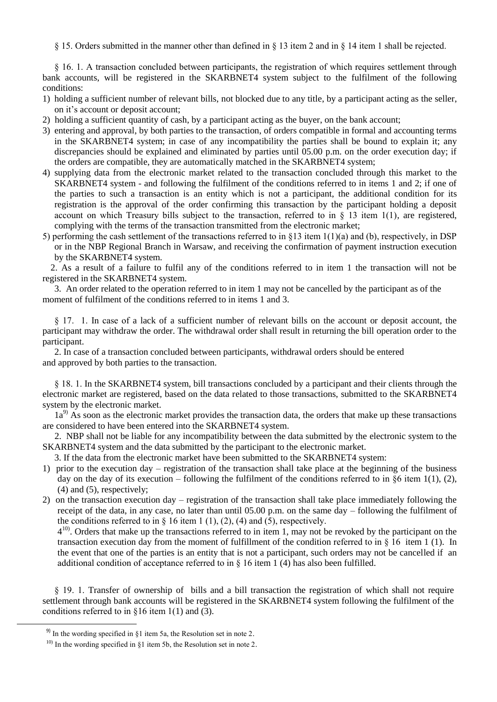§ 15. Orders submitted in the manner other than defined in § 13 item 2 and in § 14 item 1 shall be rejected.

§ 16. 1. A transaction concluded between participants, the registration of which requires settlement through bank accounts, will be registered in the SKARBNET4 system subject to the fulfilment of the following conditions:

- 1) holding a sufficient number of relevant bills, not blocked due to any title, by a participant acting as the seller, on it's account or deposit account;
- 2) holding a sufficient quantity of cash, by a participant acting as the buyer, on the bank account;
- 3) entering and approval, by both parties to the transaction, of orders compatible in formal and accounting terms in the SKARBNET4 system; in case of any incompatibility the parties shall be bound to explain it; any discrepancies should be explained and eliminated by parties until 05.00 p.m. on the order execution day; if the orders are compatible, they are automatically matched in the SKARBNET4 system;
- 4) supplying data from the electronic market related to the transaction concluded through this market to the SKARBNET4 system - and following the fulfilment of the conditions referred to in items 1 and 2; if one of the parties to such a transaction is an entity which is not a participant, the additional condition for its registration is the approval of the order confirming this transaction by the participant holding a deposit account on which Treasury bills subject to the transaction, referred to in  $\S$  13 item 1(1), are registered, complying with the terms of the transaction transmitted from the electronic market;
- 5) performing the cash settlement of the transactions referred to in §13 item  $1(1)(a)$  and (b), respectively, in DSP or in the NBP Regional Branch in Warsaw, and receiving the confirmation of payment instruction execution by the SKARBNET4 system.

2. As a result of a failure to fulfil any of the conditions referred to in item 1 the transaction will not be registered in the SKARBNET4 system.

3. An order related to the operation referred to in item 1 may not be cancelled by the participant as of the moment of fulfilment of the conditions referred to in items 1 and 3.

§ 17. 1. In case of a lack of a sufficient number of relevant bills on the account or deposit account, the participant may withdraw the order. The withdrawal order shall result in returning the bill operation order to the participant.

2. In case of a transaction concluded between participants, withdrawal orders should be entered and approved by both parties to the transaction.

§ 18. 1. In the SKARBNET4 system, bill transactions concluded by a participant and their clients through the electronic market are registered, based on the data related to those transactions, submitted to the SKARBNET4 system by the electronic market.

 $1a^{9}$  As soon as the electronic market provides the transaction data, the orders that make up these transactions are considered to have been entered into the SKARBNET4 system.

 2. NBP shall not be liable for any incompatibility between the data submitted by the electronic system to the SKARBNET4 system and the data submitted by the participant to the electronic market.

3. If the data from the electronic market have been submitted to the SKARBNET4 system:

- 1) prior to the execution day registration of the transaction shall take place at the beginning of the business day on the day of its execution – following the fulfilment of the conditions referred to in  $§6$  item 1(1), (2), (4) and (5), respectively;
- 2) on the transaction execution day registration of the transaction shall take place immediately following the receipt of the data, in any case, no later than until 05.00 p.m. on the same day – following the fulfilment of the conditions referred to in  $\S$  16 item 1 (1), (2), (4) and (5), respectively.

 $4^{10}$ . Orders that make up the transactions referred to in item 1, may not be revoked by the participant on the transaction execution day from the moment of fulfillment of the condition referred to in § 16 item 1 (1). In the event that one of the parties is an entity that is not a participant, such orders may not be cancelled if an additional condition of acceptance referred to in § 16 item 1 (4) has also been fulfilled.

§ 19. 1. Transfer of ownership of bills and a bill transaction the registration of which shall not require settlement through bank accounts will be registered in the SKARBNET4 system following the fulfilment of the conditions referred to in  $\S 16$  item 1(1) and (3).

 $\ddot{\phantom{a}}$ 

<sup>&</sup>lt;sup>9)</sup> In the wording specified in  $\S1$  item 5a, the Resolution set in note 2.

<sup>&</sup>lt;sup>10)</sup> In the wording specified in §1 item 5b, the Resolution set in note 2.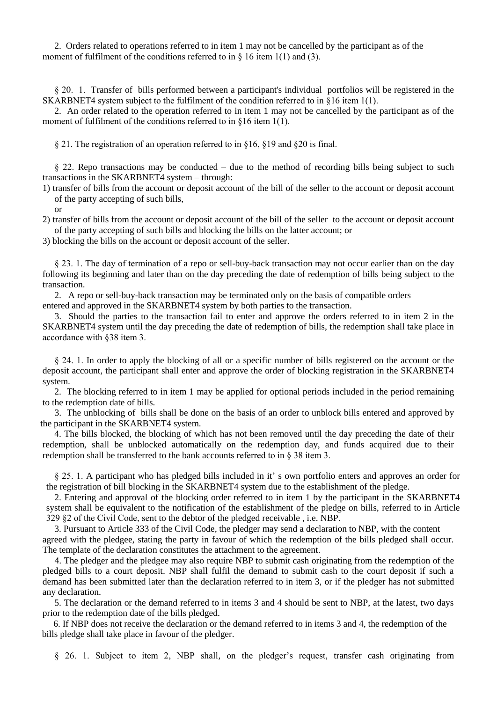2. Orders related to operations referred to in item 1 may not be cancelled by the participant as of the moment of fulfilment of the conditions referred to in  $\S$  16 item 1(1) and (3).

§ 20. 1. Transfer of bills performed between a participant's individual portfolios will be registered in the SKARBNET4 system subject to the fulfilment of the condition referred to in  $\S16$  item 1(1).

2. An order related to the operation referred to in item 1 may not be cancelled by the participant as of the moment of fulfilment of the conditions referred to in §16 item 1(1).

§ 21. The registration of an operation referred to in §16, §19 and §20 is final.

§ 22. Repo transactions may be conducted – due to the method of recording bills being subject to such transactions in the SKARBNET4 system – through:

1) transfer of bills from the account or deposit account of the bill of the seller to the account or deposit account of the party accepting of such bills,

or

2) transfer of bills from the account or deposit account of the bill of the seller to the account or deposit account of the party accepting of such bills and blocking the bills on the latter account; or

3) blocking the bills on the account or deposit account of the seller.

§ 23. 1. The day of termination of a repo or sell-buy-back transaction may not occur earlier than on the day following its beginning and later than on the day preceding the date of redemption of bills being subject to the transaction.

2. A repo or sell-buy-back transaction may be terminated only on the basis of compatible orders

entered and approved in the SKARBNET4 system by both parties to the transaction.

3. Should the parties to the transaction fail to enter and approve the orders referred to in item 2 in the SKARBNET4 system until the day preceding the date of redemption of bills, the redemption shall take place in accordance with §38 item 3.

§ 24. 1. In order to apply the blocking of all or a specific number of bills registered on the account or the deposit account, the participant shall enter and approve the order of blocking registration in the SKARBNET4 system.

2. The blocking referred to in item 1 may be applied for optional periods included in the period remaining to the redemption date of bills.

 3. The unblocking of bills shall be done on the basis of an order to unblock bills entered and approved by the participant in the SKARBNET4 system.

4. The bills blocked, the blocking of which has not been removed until the day preceding the date of their redemption, shall be unblocked automatically on the redemption day, and funds acquired due to their redemption shall be transferred to the bank accounts referred to in § 38 item 3.

§ 25. 1. A participant who has pledged bills included in it' s own portfolio enters and approves an order for the registration of bill blocking in the SKARBNET4 system due to the establishment of the pledge.

2. Entering and approval of the blocking order referred to in item 1 by the participant in the SKARBNET4 system shall be equivalent to the notification of the establishment of the pledge on bills, referred to in Article 329 §2 of the Civil Code, sent to the debtor of the pledged receivable , i.e. NBP.

3. Pursuant to Article 333 of the Civil Code, the pledger may send a declaration to NBP, with the content agreed with the pledgee, stating the party in favour of which the redemption of the bills pledged shall occur. The template of the declaration constitutes the attachment to the agreement.

4. The pledger and the pledgee may also require NBP to submit cash originating from the redemption of the pledged bills to a court deposit. NBP shall fulfil the demand to submit cash to the court deposit if such a demand has been submitted later than the declaration referred to in item 3, or if the pledger has not submitted any declaration.

5. The declaration or the demand referred to in items 3 and 4 should be sent to NBP, at the latest, two days prior to the redemption date of the bills pledged.

 6. If NBP does not receive the declaration or the demand referred to in items 3 and 4, the redemption of the bills pledge shall take place in favour of the pledger.

§ 26. 1. Subject to item 2, NBP shall, on the pledger's request, transfer cash originating from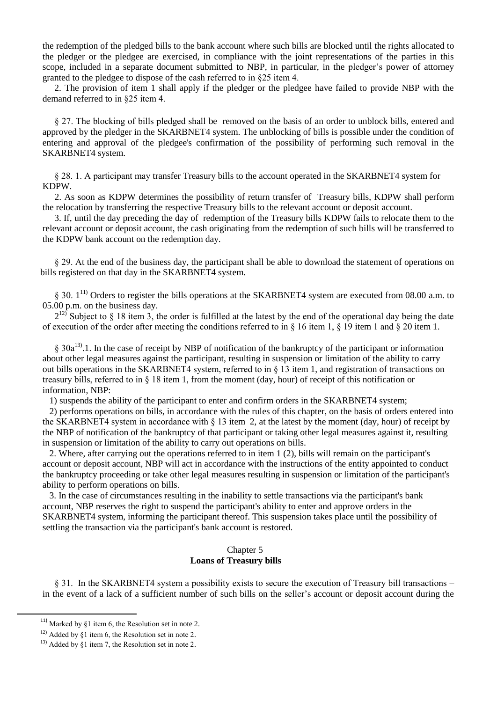the redemption of the pledged bills to the bank account where such bills are blocked until the rights allocated to the pledger or the pledgee are exercised, in compliance with the joint representations of the parties in this scope, included in a separate document submitted to NBP, in particular, in the pledger's power of attorney granted to the pledgee to dispose of the cash referred to in §25 item 4.

2. The provision of item 1 shall apply if the pledger or the pledgee have failed to provide NBP with the demand referred to in §25 item 4.

§ 27. The blocking of bills pledged shall be removed on the basis of an order to unblock bills, entered and approved by the pledger in the SKARBNET4 system. The unblocking of bills is possible under the condition of entering and approval of the pledgee's confirmation of the possibility of performing such removal in the SKARBNET4 system.

§ 28. 1. A participant may transfer Treasury bills to the account operated in the SKARBNET4 system for KDPW.

2. As soon as KDPW determines the possibility of return transfer of Treasury bills, KDPW shall perform the relocation by transferring the respective Treasury bills to the relevant account or deposit account.

3. If, until the day preceding the day of redemption of the Treasury bills KDPW fails to relocate them to the relevant account or deposit account, the cash originating from the redemption of such bills will be transferred to the KDPW bank account on the redemption day.

§ 29. At the end of the business day, the participant shall be able to download the statement of operations on bills registered on that day in the SKARBNET4 system.

§ 30. 1<sup>11)</sup> Orders to register the bills operations at the SKARBNET4 system are executed from 08.00 a.m. to 05.00 p.m. on the business day.

 $2^{12}$  Subject to § 18 item 3, the order is fulfilled at the latest by the end of the operational day being the date of execution of the order after meeting the conditions referred to in  $\S$  16 item 1,  $\S$  19 item 1 and  $\S$  20 item 1.

§ 30a<sup>13</sup>.1. In the case of receipt by NBP of notification of the bankruptcy of the participant or information about other legal measures against the participant, resulting in suspension or limitation of the ability to carry out bills operations in the SKARBNET4 system, referred to in § 13 item 1, and registration of transactions on treasury bills, referred to in § 18 item 1, from the moment (day, hour) of receipt of this notification or information, NBP:

1) suspends the ability of the participant to enter and confirm orders in the SKARBNET4 system;

 2) performs operations on bills, in accordance with the rules of this chapter, on the basis of orders entered into the SKARBNET4 system in accordance with § 13 item 2, at the latest by the moment (day, hour) of receipt by the NBP of notification of the bankruptcy of that participant or taking other legal measures against it, resulting in suspension or limitation of the ability to carry out operations on bills.

 2. Where, after carrying out the operations referred to in item 1 (2), bills will remain on the participant's account or deposit account, NBP will act in accordance with the instructions of the entity appointed to conduct the bankruptcy proceeding or take other legal measures resulting in suspension or limitation of the participant's ability to perform operations on bills.

 3. In the case of circumstances resulting in the inability to settle transactions via the participant's bank account, NBP reserves the right to suspend the participant's ability to enter and approve orders in the SKARBNET4 system, informing the participant thereof. This suspension takes place until the possibility of settling the transaction via the participant's bank account is restored.

### Chapter 5 **Loans of Treasury bills**

§ 31. In the SKARBNET4 system a possibility exists to secure the execution of Treasury bill transactions – in the event of a lack of a sufficient number of such bills on the seller's account or deposit account during the

<sup>&</sup>lt;sup>11)</sup> Marked by  $§1$  item 6, the Resolution set in note 2.

<sup>&</sup>lt;sup>12)</sup> Added by  $§1$  item 6, the Resolution set in note 2.

 $13)$  Added by §1 item 7, the Resolution set in note 2.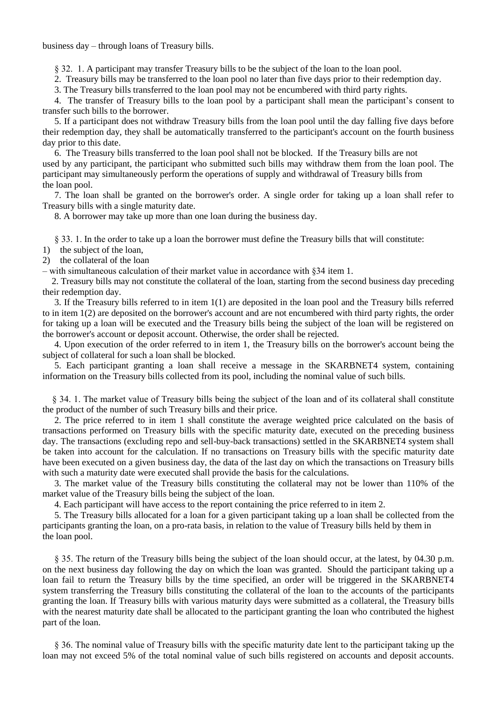business day – through loans of Treasury bills.

§ 32. 1. A participant may transfer Treasury bills to be the subject of the loan to the loan pool.

2. Treasury bills may be transferred to the loan pool no later than five days prior to their redemption day.

3. The Treasury bills transferred to the loan pool may not be encumbered with third party rights.

4. The transfer of Treasury bills to the loan pool by a participant shall mean the participant's consent to transfer such bills to the borrower.

5. If a participant does not withdraw Treasury bills from the loan pool until the day falling five days before their redemption day, they shall be automatically transferred to the participant's account on the fourth business day prior to this date.

6. The Treasury bills transferred to the loan pool shall not be blocked. If the Treasury bills are not used by any participant, the participant who submitted such bills may withdraw them from the loan pool. The participant may simultaneously perform the operations of supply and withdrawal of Treasury bills from the loan pool.

7. The loan shall be granted on the borrower's order. A single order for taking up a loan shall refer to Treasury bills with a single maturity date.

8. A borrower may take up more than one loan during the business day.

§ 33. 1. In the order to take up a loan the borrower must define the Treasury bills that will constitute:

- 1) the subject of the loan,
- 2) the collateral of the loan

– with simultaneous calculation of their market value in accordance with §34 item 1.

2. Treasury bills may not constitute the collateral of the loan, starting from the second business day preceding their redemption day.

3. If the Treasury bills referred to in item 1(1) are deposited in the loan pool and the Treasury bills referred to in item 1(2) are deposited on the borrower's account and are not encumbered with third party rights, the order for taking up a loan will be executed and the Treasury bills being the subject of the loan will be registered on the borrower's account or deposit account. Otherwise, the order shall be rejected.

4. Upon execution of the order referred to in item 1, the Treasury bills on the borrower's account being the subject of collateral for such a loan shall be blocked.

5. Each participant granting a loan shall receive a message in the SKARBNET4 system, containing information on the Treasury bills collected from its pool, including the nominal value of such bills.

§ 34. 1. The market value of Treasury bills being the subject of the loan and of its collateral shall constitute the product of the number of such Treasury bills and their price.

2. The price referred to in item 1 shall constitute the average weighted price calculated on the basis of transactions performed on Treasury bills with the specific maturity date, executed on the preceding business day. The transactions (excluding repo and sell-buy-back transactions) settled in the SKARBNET4 system shall be taken into account for the calculation. If no transactions on Treasury bills with the specific maturity date have been executed on a given business day, the data of the last day on which the transactions on Treasury bills with such a maturity date were executed shall provide the basis for the calculations.

3. The market value of the Treasury bills constituting the collateral may not be lower than 110% of the market value of the Treasury bills being the subject of the loan.

4. Each participant will have access to the report containing the price referred to in item 2.

5. The Treasury bills allocated for a loan for a given participant taking up a loan shall be collected from the participants granting the loan, on a pro-rata basis, in relation to the value of Treasury bills held by them in the loan pool.

§ 35. The return of the Treasury bills being the subject of the loan should occur, at the latest, by 04.30 p.m. on the next business day following the day on which the loan was granted. Should the participant taking up a loan fail to return the Treasury bills by the time specified, an order will be triggered in the SKARBNET4 system transferring the Treasury bills constituting the collateral of the loan to the accounts of the participants granting the loan. If Treasury bills with various maturity days were submitted as a collateral, the Treasury bills with the nearest maturity date shall be allocated to the participant granting the loan who contributed the highest part of the loan.

§ 36. The nominal value of Treasury bills with the specific maturity date lent to the participant taking up the loan may not exceed 5% of the total nominal value of such bills registered on accounts and deposit accounts.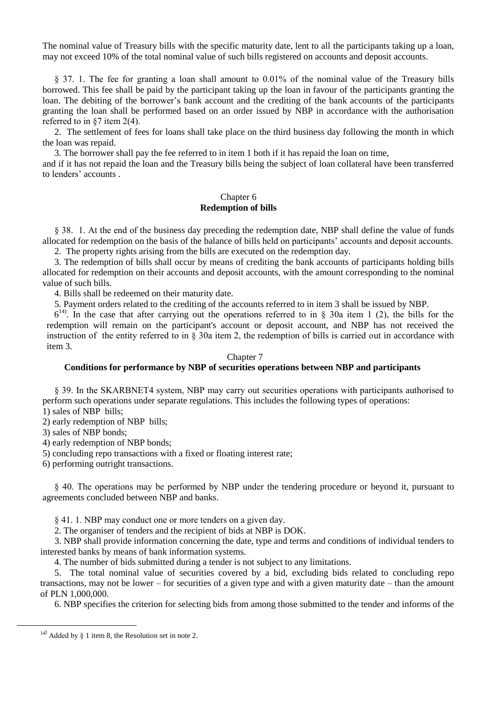The nominal value of Treasury bills with the specific maturity date, lent to all the participants taking up a loan, may not exceed 10% of the total nominal value of such bills registered on accounts and deposit accounts.

§ 37. 1. The fee for granting a loan shall amount to 0.01% of the nominal value of the Treasury bills borrowed. This fee shall be paid by the participant taking up the loan in favour of the participants granting the loan. The debiting of the borrower's bank account and the crediting of the bank accounts of the participants granting the loan shall be performed based on an order issued by NBP in accordance with the authorisation referred to in §7 item 2(4).

2. The settlement of fees for loans shall take place on the third business day following the month in which the loan was repaid.

3. The borrower shall pay the fee referred to in item 1 both if it has repaid the loan on time,

and if it has not repaid the loan and the Treasury bills being the subject of loan collateral have been transferred to lenders' accounts .

### Chapter 6 **Redemption of bills**

§ 38. 1. At the end of the business day preceding the redemption date, NBP shall define the value of funds allocated for redemption on the basis of the balance of bills held on participants' accounts and deposit accounts.

2. The property rights arising from the bills are executed on the redemption day.

3. The redemption of bills shall occur by means of crediting the bank accounts of participants holding bills allocated for redemption on their accounts and deposit accounts, with the amount corresponding to the nominal value of such bills.

4. Bills shall be redeemed on their maturity date.

5. Payment orders related to the crediting of the accounts referred to in item 3 shall be issued by NBP.

 $6<sup>14</sup>$ . In the case that after carrying out the operations referred to in § 30a item 1 (2), the bills for the redemption will remain on the participant's account or deposit account, and NBP has not received the instruction of the entity referred to in § 30a item 2, the redemption of bills is carried out in accordance with item 3.

#### Chapter 7

#### **Conditions for performance by NBP of securities operations between NBP and participants**

§ 39. In the SKARBNET4 system, NBP may carry out securities operations with participants authorised to perform such operations under separate regulations. This includes the following types of operations:

1) sales of NBP bills;

2) early redemption of NBP bills;

3) sales of NBP bonds;

4) early redemption of NBP bonds;

5) concluding repo transactions with a fixed or floating interest rate;

6) performing outright transactions.

§ 40. The operations may be performed by NBP under the tendering procedure or beyond it, pursuant to agreements concluded between NBP and banks.

§ 41. 1. NBP may conduct one or more tenders on a given day.

2. The organiser of tenders and the recipient of bids at NBP is DOK.

3. NBP shall provide information concerning the date, type and terms and conditions of individual tenders to interested banks by means of bank information systems.

4. The number of bids submitted during a tender is not subject to any limitations.

5. The total nominal value of securities covered by a bid, excluding bids related to concluding repo transactions, may not be lower – for securities of a given type and with a given maturity date – than the amount of PLN 1,000,000.

6. NBP specifies the criterion for selecting bids from among those submitted to the tender and informs of the

1

<sup>&</sup>lt;sup>14)</sup> Added by  $\S$  1 item 8, the Resolution set in note 2.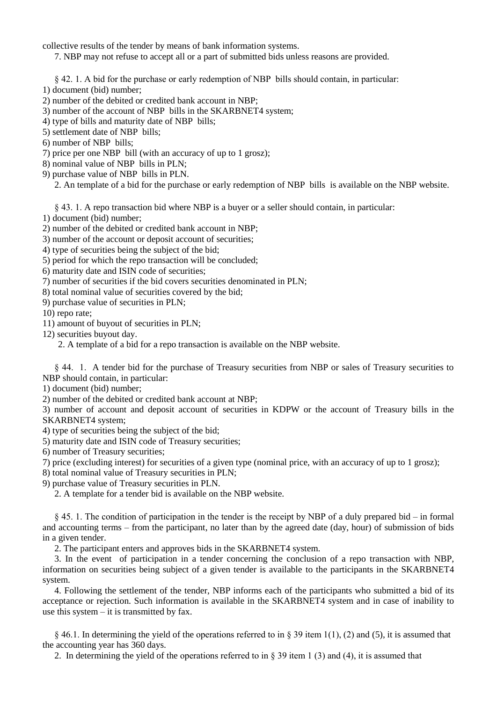collective results of the tender by means of bank information systems.

7. NBP may not refuse to accept all or a part of submitted bids unless reasons are provided.

§ 42. 1. A bid for the purchase or early redemption of NBP bills should contain, in particular:

- 1) document (bid) number;
- 2) number of the debited or credited bank account in NBP;
- 3) number of the account of NBP bills in the SKARBNET4 system;
- 4) type of bills and maturity date of NBP bills;
- 5) settlement date of NBP bills;
- 6) number of NBP bills;
- 7) price per one NBP bill (with an accuracy of up to 1 grosz);
- 8) nominal value of NBP bills in PLN;
- 9) purchase value of NBP bills in PLN.
	- 2. An template of a bid for the purchase or early redemption of NBP bills is available on the NBP website.

§ 43. 1. A repo transaction bid where NBP is a buyer or a seller should contain, in particular:

- 1) document (bid) number;
- 2) number of the debited or credited bank account in NBP;
- 3) number of the account or deposit account of securities;
- 4) type of securities being the subject of the bid;
- 5) period for which the repo transaction will be concluded;
- 6) maturity date and ISIN code of securities;
- 7) number of securities if the bid covers securities denominated in PLN;
- 8) total nominal value of securities covered by the bid;
- 9) purchase value of securities in PLN;

10) repo rate;

- 11) amount of buyout of securities in PLN;
- 12) securities buyout day.
	- 2. A template of a bid for a repo transaction is available on the NBP website.

§ 44. 1. A tender bid for the purchase of Treasury securities from NBP or sales of Treasury securities to NBP should contain, in particular:

1) document (bid) number;

2) number of the debited or credited bank account at NBP;

3) number of account and deposit account of securities in KDPW or the account of Treasury bills in the SKARBNET4 system;

4) type of securities being the subject of the bid;

- 5) maturity date and ISIN code of Treasury securities;
- 6) number of Treasury securities;
- 7) price (excluding interest) for securities of a given type (nominal price, with an accuracy of up to 1 grosz);

8) total nominal value of Treasury securities in PLN;

9) purchase value of Treasury securities in PLN.

2. A template for a tender bid is available on the NBP website.

§ 45. 1. The condition of participation in the tender is the receipt by NBP of a duly prepared bid – in formal and accounting terms – from the participant, no later than by the agreed date (day, hour) of submission of bids in a given tender.

2. The participant enters and approves bids in the SKARBNET4 system.

3. In the event of participation in a tender concerning the conclusion of a repo transaction with NBP, information on securities being subject of a given tender is available to the participants in the SKARBNET4 system.

4. Following the settlement of the tender, NBP informs each of the participants who submitted a bid of its acceptance or rejection. Such information is available in the SKARBNET4 system and in case of inability to use this system  $-$  it is transmitted by fax.

 $§$  46.1. In determining the yield of the operations referred to in  $§$  39 item 1(1), (2) and (5), it is assumed that the accounting year has 360 days.

2. In determining the yield of the operations referred to in  $\S$  39 item 1 (3) and (4), it is assumed that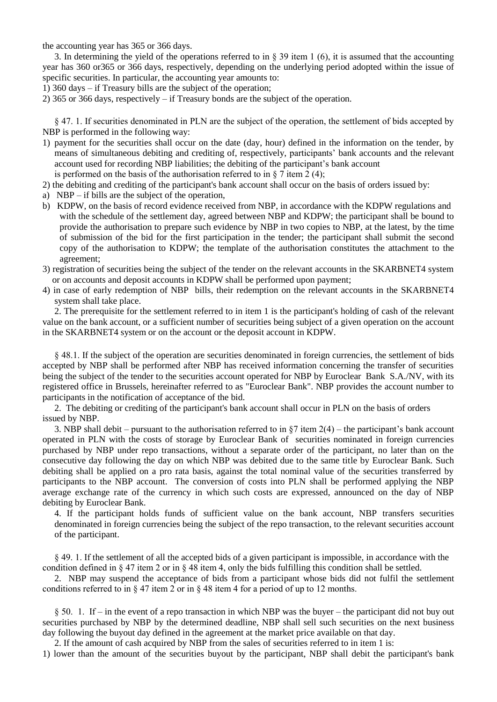the accounting year has 365 or 366 days.

3. In determining the yield of the operations referred to in  $\S$  39 item 1 (6), it is assumed that the accounting year has 360 or365 or 366 days, respectively, depending on the underlying period adopted within the issue of specific securities. In particular, the accounting year amounts to:

1) 360 days – if Treasury bills are the subject of the operation;

2) 365 or 366 days, respectively – if Treasury bonds are the subject of the operation.

§ 47. 1. If securities denominated in PLN are the subject of the operation, the settlement of bids accepted by NBP is performed in the following way:

- 1) payment for the securities shall occur on the date (day, hour) defined in the information on the tender, by means of simultaneous debiting and crediting of, respectively, participants' bank accounts and the relevant account used for recording NBP liabilities; the debiting of the participant's bank account is performed on the basis of the authorisation referred to in  $\S$  7 item 2 (4);
- 2) the debiting and crediting of the participant's bank account shall occur on the basis of orders issued by:
- a) NBP if bills are the subject of the operation,
- b) KDPW, on the basis of record evidence received from NBP, in accordance with the KDPW regulations and with the schedule of the settlement day, agreed between NBP and KDPW; the participant shall be bound to provide the authorisation to prepare such evidence by NBP in two copies to NBP, at the latest, by the time of submission of the bid for the first participation in the tender; the participant shall submit the second copy of the authorisation to KDPW; the template of the authorisation constitutes the attachment to the agreement;
- 3) registration of securities being the subject of the tender on the relevant accounts in the SKARBNET4 system or on accounts and deposit accounts in KDPW shall be performed upon payment;
- 4) in case of early redemption of NBP bills, their redemption on the relevant accounts in the SKARBNET4 system shall take place.

2. The prerequisite for the settlement referred to in item 1 is the participant's holding of cash of the relevant value on the bank account, or a sufficient number of securities being subject of a given operation on the account in the SKARBNET4 system or on the account or the deposit account in KDPW.

§ 48.1. If the subject of the operation are securities denominated in foreign currencies, the settlement of bids accepted by NBP shall be performed after NBP has received information concerning the transfer of securities being the subject of the tender to the securities account operated for NBP by Euroclear Bank S.A./NV, with its registered office in Brussels, hereinafter referred to as "Euroclear Bank". NBP provides the account number to participants in the notification of acceptance of the bid.

2. The debiting or crediting of the participant's bank account shall occur in PLN on the basis of orders issued by NBP.

3. NBP shall debit – pursuant to the authorisation referred to in  $\S7$  item  $2(4)$  – the participant's bank account operated in PLN with the costs of storage by Euroclear Bank of securities nominated in foreign currencies purchased by NBP under repo transactions, without a separate order of the participant, no later than on the consecutive day following the day on which NBP was debited due to the same title by Euroclear Bank. Such debiting shall be applied on a pro rata basis, against the total nominal value of the securities transferred by participants to the NBP account. The conversion of costs into PLN shall be performed applying the NBP average exchange rate of the currency in which such costs are expressed, announced on the day of NBP debiting by Euroclear Bank.

4. If the participant holds funds of sufficient value on the bank account, NBP transfers securities denominated in foreign currencies being the subject of the repo transaction, to the relevant securities account of the participant.

§ 49. 1. If the settlement of all the accepted bids of a given participant is impossible, in accordance with the condition defined in § 47 item 2 or in § 48 item 4, only the bids fulfilling this condition shall be settled.

2. NBP may suspend the acceptance of bids from a participant whose bids did not fulfil the settlement conditions referred to in  $\S 47$  item 2 or in  $\S 48$  item 4 for a period of up to 12 months.

§ 50. 1. If – in the event of a repo transaction in which NBP was the buyer – the participant did not buy out securities purchased by NBP by the determined deadline, NBP shall sell such securities on the next business day following the buyout day defined in the agreement at the market price available on that day.

2. If the amount of cash acquired by NBP from the sales of securities referred to in item 1 is:

1) lower than the amount of the securities buyout by the participant, NBP shall debit the participant's bank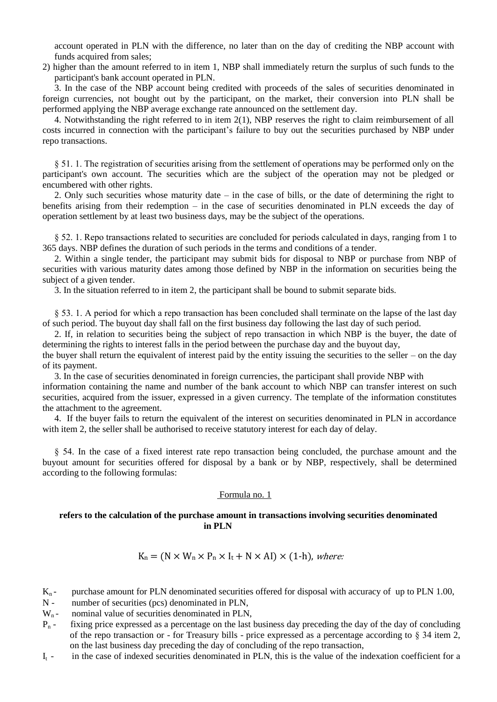account operated in PLN with the difference, no later than on the day of crediting the NBP account with funds acquired from sales;

2) higher than the amount referred to in item 1, NBP shall immediately return the surplus of such funds to the participant's bank account operated in PLN.

3. In the case of the NBP account being credited with proceeds of the sales of securities denominated in foreign currencies, not bought out by the participant, on the market, their conversion into PLN shall be performed applying the NBP average exchange rate announced on the settlement day.

4. Notwithstanding the right referred to in item 2(1), NBP reserves the right to claim reimbursement of all costs incurred in connection with the participant's failure to buy out the securities purchased by NBP under repo transactions.

§ 51. 1. The registration of securities arising from the settlement of operations may be performed only on the participant's own account. The securities which are the subject of the operation may not be pledged or encumbered with other rights.

2. Only such securities whose maturity date – in the case of bills, or the date of determining the right to benefits arising from their redemption – in the case of securities denominated in PLN exceeds the day of operation settlement by at least two business days, may be the subject of the operations.

§ 52. 1. Repo transactions related to securities are concluded for periods calculated in days, ranging from 1 to 365 days. NBP defines the duration of such periods in the terms and conditions of a tender.

2. Within a single tender, the participant may submit bids for disposal to NBP or purchase from NBP of securities with various maturity dates among those defined by NBP in the information on securities being the subject of a given tender.

3. In the situation referred to in item 2, the participant shall be bound to submit separate bids.

§ 53. 1. A period for which a repo transaction has been concluded shall terminate on the lapse of the last day of such period. The buyout day shall fall on the first business day following the last day of such period.

2. If, in relation to securities being the subject of repo transaction in which NBP is the buyer, the date of determining the rights to interest falls in the period between the purchase day and the buyout day,

the buyer shall return the equivalent of interest paid by the entity issuing the securities to the seller – on the day of its payment.

3. In the case of securities denominated in foreign currencies, the participant shall provide NBP with information containing the name and number of the bank account to which NBP can transfer interest on such securities, acquired from the issuer, expressed in a given currency. The template of the information constitutes the attachment to the agreement.

4. If the buyer fails to return the equivalent of the interest on securities denominated in PLN in accordance with item 2, the seller shall be authorised to receive statutory interest for each day of delay.

§ 54. In the case of a fixed interest rate repo transaction being concluded, the purchase amount and the buyout amount for securities offered for disposal by a bank or by NBP, respectively, shall be determined according to the following formulas:

## Formula no. 1

## **refers to the calculation of the purchase amount in transactions involving securities denominated in PLN**

## $K_n = (N \times W_n \times P_n \times I_t + N \times AI) \times (1-h)$ , where:

- $K_n$  purchase amount for PLN denominated securities offered for disposal with accuracy of up to PLN 1.00,
- N number of securities (pcs) denominated in PLN,
- $W_n$  nominal value of securities denominated in PLN,
- $P_n$  fixing price expressed as a percentage on the last business day preceding the day of the day of concluding of the repo transaction or - for Treasury bills - price expressed as a percentage according to  $\S 34$  item 2, on the last business day preceding the day of concluding of the repo transaction,
- $I_t$  in the case of indexed securities denominated in PLN, this is the value of the indexation coefficient for a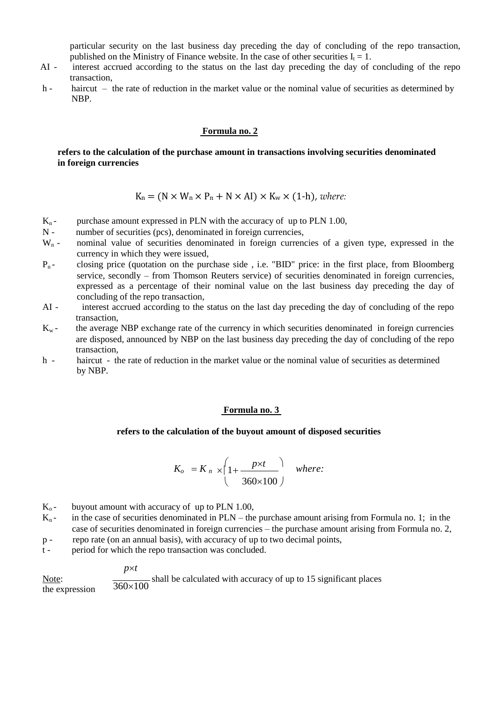particular security on the last business day preceding the day of concluding of the repo transaction, published on the Ministry of Finance website. In the case of other securities  $I_t = 1$ .

- AI interest accrued according to the status on the last day preceding the day of concluding of the repo transaction,
- h haircut the rate of reduction in the market value or the nominal value of securities as determined by NBP.

### **Formula no. 2**

## **refers to the calculation of the purchase amount in transactions involving securities denominated in foreign currencies**

 $K_n = (N \times W_n \times P_n + N \times AI) \times K_w \times (1-h)$ , *where:* 

- $K_n$  purchase amount expressed in PLN with the accuracy of up to PLN 1.00,<br>N number of securities (pcs), denominated in foreign currencies.
- $N -$  number of securities (pcs), denominated in foreign currencies,  $W_n -$  nominal value of securities denominated in foreign currencies
- nominal value of securities denominated in foreign currencies of a given type, expressed in the currency in which they were issued,
- $P_n$  closing price (quotation on the purchase side, i.e. "BID" price: in the first place, from Bloomberg service, secondly – from Thomson Reuters service) of securities denominated in foreign currencies, expressed as a percentage of their nominal value on the last business day preceding the day of concluding of the repo transaction,
- AI interest accrued according to the status on the last day preceding the day of concluding of the repo transaction,
- $K_w$  the average NBP exchange rate of the currency in which securities denominated in foreign currencies are disposed, announced by NBP on the last business day preceding the day of concluding of the repo transaction,
- h haircut the rate of reduction in the market value or the nominal value of securities as determined by NBP.

## **Formula no. 3**

#### **refers to the calculation of the buyout amount of disposed securities**

$$
K_o = K_n \times \left(1 + \frac{p \times t}{360 \times 100}\right) \quad \text{where:}
$$

- $K_0$  buyout amount with accuracy of up to PLN 1.00,
- $K_n$  in the case of securities denominated in PLN the purchase amount arising from Formula no. 1; in the case of securities denominated in foreign currencies – the purchase amount arising from Formula no. 2,
- p repo rate (on an annual basis), with accuracy of up to two decimal points,
- t period for which the repo transaction was concluded.

*pt*

Note: the expression shall be calculated with accuracy of up to 15 significant places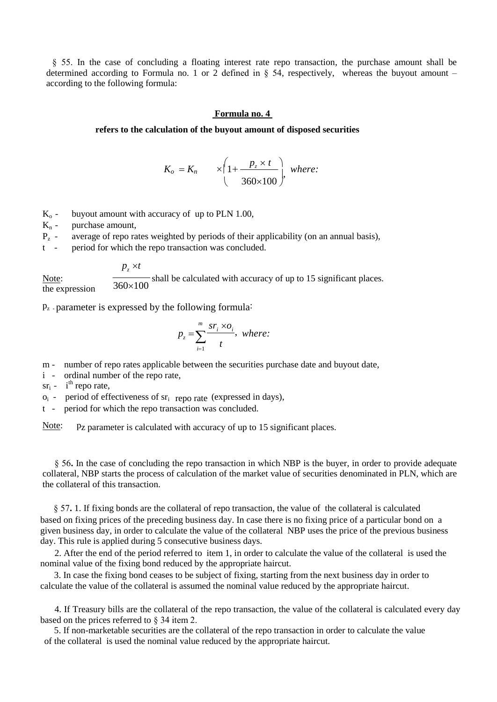§ 55. In the case of concluding a floating interest rate repo transaction, the purchase amount shall be determined according to Formula no. 1 or 2 defined in § 54, respectively, whereas the buyout amount – according to the following formula:

### **Formula no. 4**

#### **refers to the calculation of the buyout amount of disposed securities**

$$
K_o = K_n \qquad \times \left(1 + \frac{p_z \times t}{360 \times 100}\right), \text{ where:}
$$

- $K_0$  buyout amount with accuracy of up to PLN 1.00,<br> $K_n$  purchase amount,
- purchase amount,
- $P_{z}$  average of repo rates weighted by periods of their applicability (on an annual basis),
- t period for which the repo transaction was concluded.

 $p_z \times t$ Note: the expression shall be calculated with accuracy of up to 15 significant places.

pz - parameter is expressed by the following formula:

$$
p_z = \sum_{i=1}^{m} \frac{sr_i \times o_i}{t}, \text{ where:}
$$

m - number of repo rates applicable between the securities purchase date and buyout date,

i - ordinal number of the repo rate,

 $sr_i$  - i<sup>th</sup> repo rate,

 $o_i$  - period of effectiveness of  $sr_i$  repo rate (expressed in days),

t - period for which the repo transaction was concluded.

Note: Pz parameter is calculated with accuracy of up to 15 significant places.

§ 56**.** In the case of concluding the repo transaction in which NBP is the buyer, in order to provide adequate collateral, NBP starts the process of calculation of the market value of securities denominated in PLN, which are the collateral of this transaction.

 § 57**.** 1. If fixing bonds are the collateral of repo transaction, the value of the collateral is calculated based on fixing prices of the preceding business day. In case there is no fixing price of a particular bond on a given business day, in order to calculate the value of the collateral NBP uses the price of the previous business day. This rule is applied during 5 consecutive business days.

2. After the end of the period referred to item 1, in order to calculate the value of the collateral is used the nominal value of the fixing bond reduced by the appropriate haircut.

 3. In case the fixing bond ceases to be subject of fixing, starting from the next business day in order to calculate the value of the collateral is assumed the nominal value reduced by the appropriate haircut.

4. If Treasury bills are the collateral of the repo transaction, the value of the collateral is calculated every day based on the prices referred to § 34 item 2.

 5. If non-marketable securities are the collateral of the repo transaction in order to calculate the value of the collateral is used the nominal value reduced by the appropriate haircut.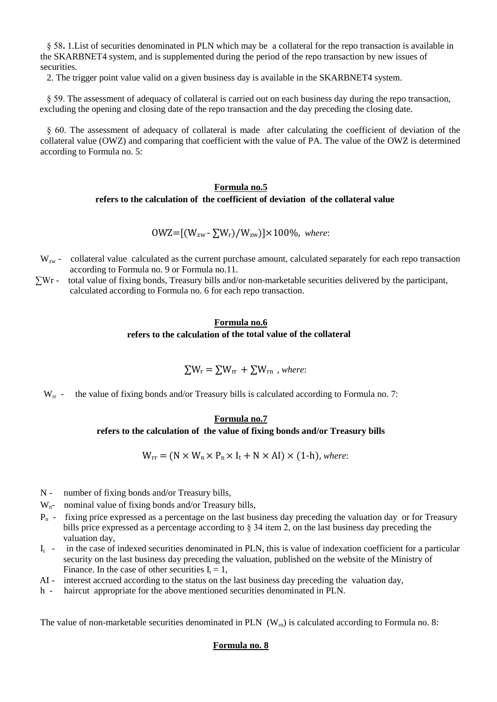§ 58**.** 1.List of securities denominated in PLN which may be a collateral for the repo transaction is available in the SKARBNET4 system, and is supplemented during the period of the repo transaction by new issues of securities.

2. The trigger point value valid on a given business day is available in the SKARBNET4 system.

§ 59. The assessment of adequacy of collateral is carried out on each business day during the repo transaction, excluding the opening and closing date of the repo transaction and the day preceding the closing date.

§ 60. The assessment of adequacy of collateral is made after calculating the coefficient of deviation of the collateral value (OWZ) and comparing that coefficient with the value of PA. The value of the OWZ is determined according to Formula no. 5:

## **Formula no.5 refers to the calculation of the coefficient of deviation of the collateral value**

OWZ=[(Wzw - ∑Wr)/Wzw)]×100%, *where*:

- $W_{zw}$  collateral value calculated as the current purchase amount, calculated separately for each repo transaction according to Formula no. 9 or Formula no.11.
- ∑Wr total value of fixing bonds, Treasury bills and/or non-marketable securities delivered by the participant, calculated according to Formula no. 6 for each repo transaction.

## **Formula no.6 refers to the calculation of the total value of the collateral**

$$
\Sigma W_r = \Sigma W_{rr} + \Sigma W_{rn} , where:
$$

 $W_{rr}$  - the value of fixing bonds and/or Treasury bills is calculated according to Formula no. 7:

## **Formula no.7**

### **refers to the calculation of the value of fixing bonds and/or Treasury bills**

 $W_{rr} = (N \times W_n \times P_n \times I_t + N \times AI) \times (1-h)$ , *where:* 

- N number of fixing bonds and/or Treasury bills,
- $W_{n-}$  nominal value of fixing bonds and/or Treasury bills,
- $P_n$  fixing price expressed as a percentage on the last business day preceding the valuation day or for Treasury bills price expressed as a percentage according to § 34 item 2, on the last business day preceding the valuation day,
- $I_t$  in the case of indexed securities denominated in PLN, this is value of indexation coefficient for a particular security on the last business day preceding the valuation, published on the website of the Ministry of Finance. In the case of other securities  $I_t = 1$ ,
- AI interest accrued according to the status on the last business day preceding the valuation day,
- h haircut appropriate for the above mentioned securities denominated in PLN.

The value of non-marketable securities denominated in PLN  $(W_m)$  is calculated according to Formula no. 8:

## **Formula no. 8**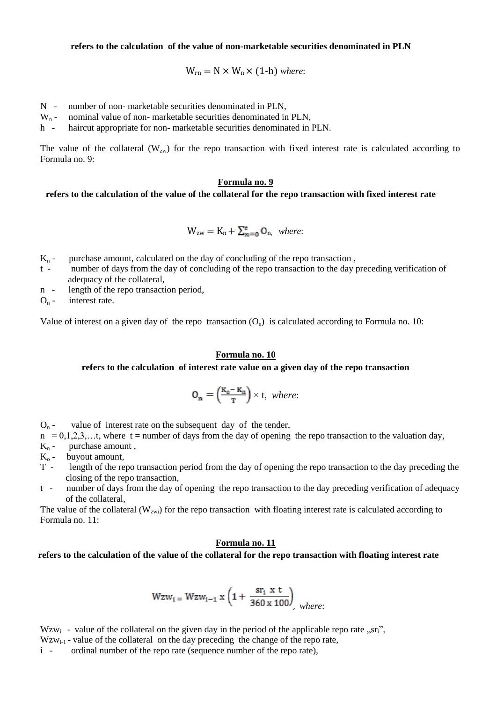**refers to the calculation of the value of non-marketable securities denominated in PLN**

$$
W_{rn} = N \times W_n \times (1-h) \text{ where:}
$$

- $N -$  number of non- marketable securities denominated in PLN,<br>W<sub>n</sub> nominal value of non- marketable securities denominated in
- nominal value of non- marketable securities denominated in PLN,
- h haircut appropriate for non- marketable securities denominated in PLN.

The value of the collateral  $(W_{zw})$  for the repo transaction with fixed interest rate is calculated according to Formula no. 9:

#### **Formula no. 9**

#### **refers to the calculation of the value of the collateral for the repo transaction with fixed interest rate**

$$
W_{zw} = K_n + \sum_{n=0}^{t} O_n
$$
, where:

- $K_n$  purchase amount, calculated on the day of concluding of the repo transaction,
- t number of days from the day of concluding of the repo transaction to the day preceding verification of adequacy of the collateral,
- n length of the repo transaction period,

 $O_n$  - interest rate.

Value of interest on a given day of the repo transaction  $(O_n)$  is calculated according to Formula no. 10:

#### **Formula no. 10**

#### **refers to the calculation of interest rate value on a given day of the repo transaction**

$$
O_n = \left(\frac{\kappa_o - \kappa_n}{T}\right) \times t, \text{ where:}
$$

 $O_n$  - value of interest rate on the subsequent day of the tender,

 $n = 0,1,2,3,...$ , where t = number of days from the day of opening the repo transaction to the valuation day,

- $K_n$  purchase amount,
- $K<sub>o</sub>$  buyout amount,
- T length of the repo transaction period from the day of opening the repo transaction to the day preceding the closing of the repo transaction,
- t number of days from the day of opening the repo transaction to the day preceding verification of adequacy of the collateral,

The value of the collateral ( $W_{zwi}$ ) for the repo transaction with floating interest rate is calculated according to Formula no. 11:

#### **Formula no. 11**

## **refers to the calculation of the value of the collateral for the repo transaction with floating interest rate**

$$
Wzw_i = Wzw_{i-1} x \left( 1 + \frac{sr_i x t}{360 x 100} \right)
$$
, where:

Wzw<sub>i</sub> - value of the collateral on the given day in the period of the applicable repo rate  $\pi$ , sr<sub>i</sub>",

 $Wzw_{i-1}$  - value of the collateral on the day preceding the change of the repo rate,

i - ordinal number of the repo rate (sequence number of the repo rate),